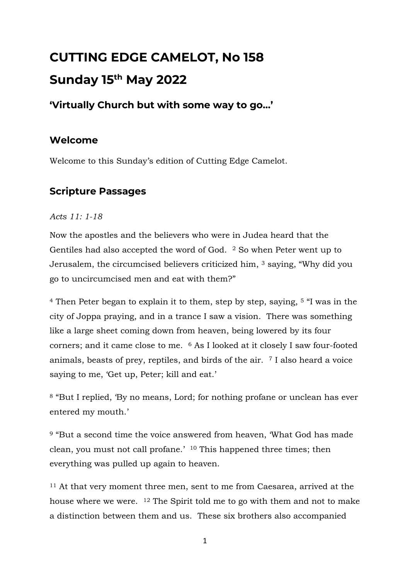# **CUTTING EDGE CAMELOT, No 158 Sunday 15th May 2022**

# **'Virtually Church but with some way to go…'**

## **Welcome**

Welcome to this Sunday's edition of Cutting Edge Camelot.

# **Scripture Passages**

#### *Acts 11: 1-18*

Now the apostles and the believers who were in Judea heard that the Gentiles had also accepted the word of God. <sup>2</sup> So when Peter went up to Jerusalem, the circumcised believers criticized him, <sup>3</sup> saying, "Why did you go to uncircumcised men and eat with them?"

<sup>4</sup> Then Peter began to explain it to them, step by step, saying, <sup>5</sup> "I was in the city of Joppa praying, and in a trance I saw a vision. There was something like a large sheet coming down from heaven, being lowered by its four corners; and it came close to me. <sup>6</sup> As I looked at it closely I saw four-footed animals, beasts of prey, reptiles, and birds of the air. <sup>7</sup> I also heard a voice saying to me, 'Get up, Peter; kill and eat.'

<sup>8</sup> "But I replied, 'By no means, Lord; for nothing profane or unclean has ever entered my mouth.'

<sup>9</sup> "But a second time the voice answered from heaven, 'What God has made clean, you must not call profane.' <sup>10</sup> This happened three times; then everything was pulled up again to heaven.

<sup>11</sup> At that very moment three men, sent to me from Caesarea, arrived at the house where we were. <sup>12</sup> The Spirit told me to go with them and not to make a distinction between them and us. These six brothers also accompanied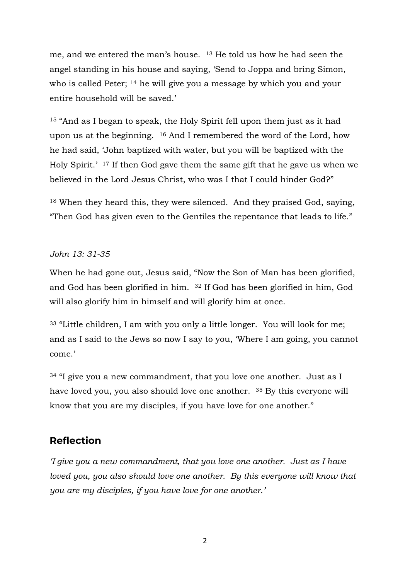me, and we entered the man's house. <sup>13</sup> He told us how he had seen the angel standing in his house and saying, 'Send to Joppa and bring Simon, who is called Peter; <sup>14</sup> he will give you a message by which you and your entire household will be saved.'

<sup>15</sup> "And as I began to speak, the Holy Spirit fell upon them just as it had upon us at the beginning. <sup>16</sup> And I remembered the word of the Lord, how he had said, 'John baptized with water, but you will be baptized with the Holy Spirit.' <sup>17</sup> If then God gave them the same gift that he gave us when we believed in the Lord Jesus Christ, who was I that I could hinder God?"

<sup>18</sup> When they heard this, they were silenced. And they praised God, saying, "Then God has given even to the Gentiles the repentance that leads to life."

#### *John 13: 31-35*

When he had gone out, Jesus said, "Now the Son of Man has been glorified, and God has been glorified in him. <sup>32</sup> If God has been glorified in him, God will also glorify him in himself and will glorify him at once.

<sup>33</sup> "Little children, I am with you only a little longer. You will look for me; and as I said to the Jews so now I say to you, 'Where I am going, you cannot come.'

 $34$  "I give you a new commandment, that you love one another. Just as I have loved you, you also should love one another. <sup>35</sup> By this everyone will know that you are my disciples, if you have love for one another."

#### **Reflection**

*'I give you a new commandment, that you love one another. Just as I have loved you, you also should love one another. By this everyone will know that you are my disciples, if you have love for one another.'*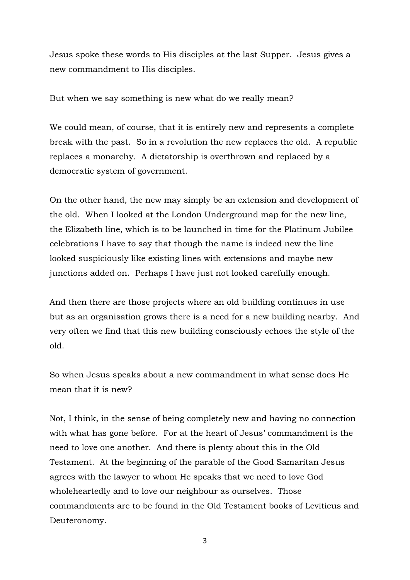Jesus spoke these words to His disciples at the last Supper. Jesus gives a new commandment to His disciples.

But when we say something is new what do we really mean?

We could mean, of course, that it is entirely new and represents a complete break with the past. So in a revolution the new replaces the old. A republic replaces a monarchy. A dictatorship is overthrown and replaced by a democratic system of government.

On the other hand, the new may simply be an extension and development of the old. When I looked at the London Underground map for the new line, the Elizabeth line, which is to be launched in time for the Platinum Jubilee celebrations I have to say that though the name is indeed new the line looked suspiciously like existing lines with extensions and maybe new junctions added on. Perhaps I have just not looked carefully enough.

And then there are those projects where an old building continues in use but as an organisation grows there is a need for a new building nearby. And very often we find that this new building consciously echoes the style of the old.

So when Jesus speaks about a new commandment in what sense does He mean that it is new?

Not, I think, in the sense of being completely new and having no connection with what has gone before. For at the heart of Jesus' commandment is the need to love one another. And there is plenty about this in the Old Testament. At the beginning of the parable of the Good Samaritan Jesus agrees with the lawyer to whom He speaks that we need to love God wholeheartedly and to love our neighbour as ourselves. Those commandments are to be found in the Old Testament books of Leviticus and Deuteronomy.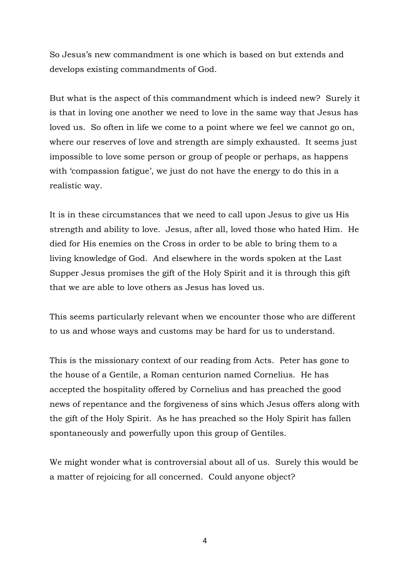So Jesus's new commandment is one which is based on but extends and develops existing commandments of God.

But what is the aspect of this commandment which is indeed new? Surely it is that in loving one another we need to love in the same way that Jesus has loved us. So often in life we come to a point where we feel we cannot go on, where our reserves of love and strength are simply exhausted. It seems just impossible to love some person or group of people or perhaps, as happens with 'compassion fatigue', we just do not have the energy to do this in a realistic way.

It is in these circumstances that we need to call upon Jesus to give us His strength and ability to love. Jesus, after all, loved those who hated Him. He died for His enemies on the Cross in order to be able to bring them to a living knowledge of God. And elsewhere in the words spoken at the Last Supper Jesus promises the gift of the Holy Spirit and it is through this gift that we are able to love others as Jesus has loved us.

This seems particularly relevant when we encounter those who are different to us and whose ways and customs may be hard for us to understand.

This is the missionary context of our reading from Acts. Peter has gone to the house of a Gentile, a Roman centurion named Cornelius. He has accepted the hospitality offered by Cornelius and has preached the good news of repentance and the forgiveness of sins which Jesus offers along with the gift of the Holy Spirit. As he has preached so the Holy Spirit has fallen spontaneously and powerfully upon this group of Gentiles.

We might wonder what is controversial about all of us. Surely this would be a matter of rejoicing for all concerned. Could anyone object?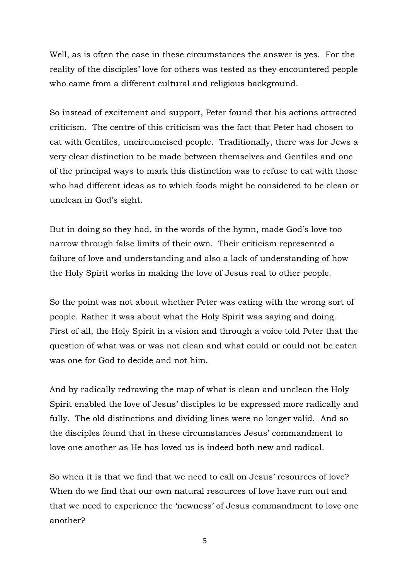Well, as is often the case in these circumstances the answer is yes. For the reality of the disciples' love for others was tested as they encountered people who came from a different cultural and religious background.

So instead of excitement and support, Peter found that his actions attracted criticism. The centre of this criticism was the fact that Peter had chosen to eat with Gentiles, uncircumcised people. Traditionally, there was for Jews a very clear distinction to be made between themselves and Gentiles and one of the principal ways to mark this distinction was to refuse to eat with those who had different ideas as to which foods might be considered to be clean or unclean in God's sight.

But in doing so they had, in the words of the hymn, made God's love too narrow through false limits of their own. Their criticism represented a failure of love and understanding and also a lack of understanding of how the Holy Spirit works in making the love of Jesus real to other people.

So the point was not about whether Peter was eating with the wrong sort of people. Rather it was about what the Holy Spirit was saying and doing. First of all, the Holy Spirit in a vision and through a voice told Peter that the question of what was or was not clean and what could or could not be eaten was one for God to decide and not him.

And by radically redrawing the map of what is clean and unclean the Holy Spirit enabled the love of Jesus' disciples to be expressed more radically and fully. The old distinctions and dividing lines were no longer valid. And so the disciples found that in these circumstances Jesus' commandment to love one another as He has loved us is indeed both new and radical.

So when it is that we find that we need to call on Jesus' resources of love? When do we find that our own natural resources of love have run out and that we need to experience the 'newness' of Jesus commandment to love one another?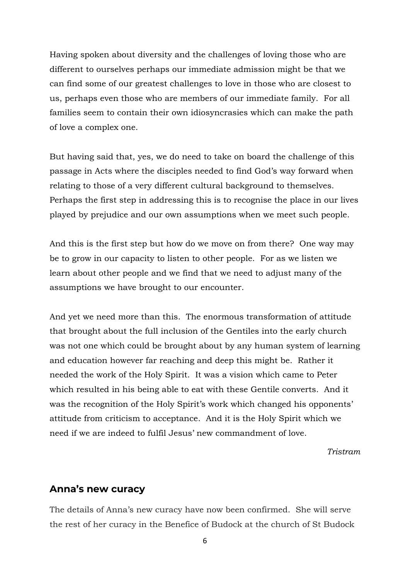Having spoken about diversity and the challenges of loving those who are different to ourselves perhaps our immediate admission might be that we can find some of our greatest challenges to love in those who are closest to us, perhaps even those who are members of our immediate family. For all families seem to contain their own idiosyncrasies which can make the path of love a complex one.

But having said that, yes, we do need to take on board the challenge of this passage in Acts where the disciples needed to find God's way forward when relating to those of a very different cultural background to themselves. Perhaps the first step in addressing this is to recognise the place in our lives played by prejudice and our own assumptions when we meet such people.

And this is the first step but how do we move on from there? One way may be to grow in our capacity to listen to other people. For as we listen we learn about other people and we find that we need to adjust many of the assumptions we have brought to our encounter.

And yet we need more than this. The enormous transformation of attitude that brought about the full inclusion of the Gentiles into the early church was not one which could be brought about by any human system of learning and education however far reaching and deep this might be. Rather it needed the work of the Holy Spirit. It was a vision which came to Peter which resulted in his being able to eat with these Gentile converts. And it was the recognition of the Holy Spirit's work which changed his opponents' attitude from criticism to acceptance. And it is the Holy Spirit which we need if we are indeed to fulfil Jesus' new commandment of love.

*Tristram*

#### **Anna's new curacy**

The details of Anna's new curacy have now been confirmed. She will serve the rest of her curacy in the Benefice of Budock at the church of St Budock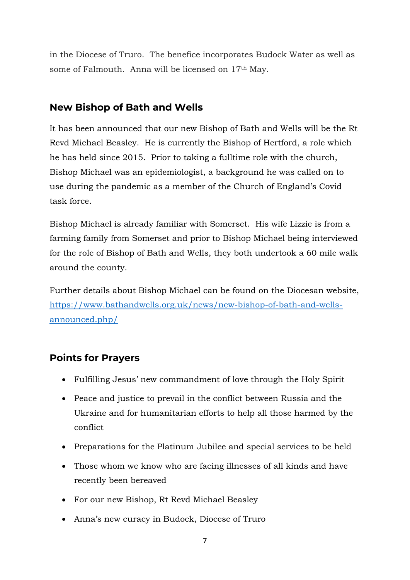in the Diocese of Truro. The benefice incorporates Budock Water as well as some of Falmouth. Anna will be licensed on 17th May.

## **New Bishop of Bath and Wells**

It has been announced that our new Bishop of Bath and Wells will be the Rt Revd Michael Beasley. He is currently the Bishop of Hertford, a role which he has held since 2015. Prior to taking a fulltime role with the church, Bishop Michael was an epidemiologist, a background he was called on to use during the pandemic as a member of the Church of England's Covid task force.

Bishop Michael is already familiar with Somerset. His wife Lizzie is from a farming family from Somerset and prior to Bishop Michael being interviewed for the role of Bishop of Bath and Wells, they both undertook a 60 mile walk around the county.

Further details about Bishop Michael can be found on the Diocesan website, [https://www.bathandwells.org.uk/news/new-bishop-of-bath-and-wells](https://www.bathandwells.org.uk/news/new-bishop-of-bath-and-wells-announced.php/)[announced.php/](https://www.bathandwells.org.uk/news/new-bishop-of-bath-and-wells-announced.php/)

## **Points for Prayers**

- Fulfilling Jesus' new commandment of love through the Holy Spirit
- Peace and justice to prevail in the conflict between Russia and the Ukraine and for humanitarian efforts to help all those harmed by the conflict
- Preparations for the Platinum Jubilee and special services to be held
- Those whom we know who are facing illnesses of all kinds and have recently been bereaved
- For our new Bishop, Rt Revd Michael Beasley
- Anna's new curacy in Budock, Diocese of Truro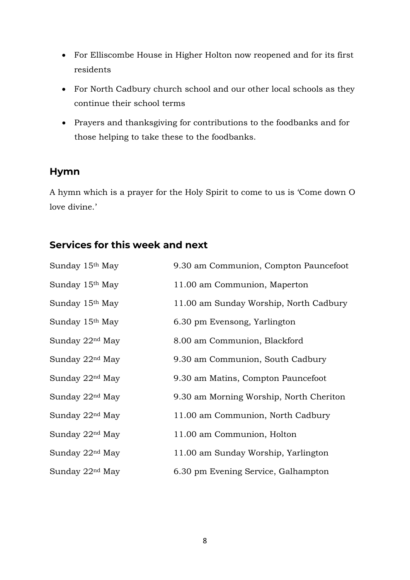- For Elliscombe House in Higher Holton now reopened and for its first residents
- For North Cadbury church school and our other local schools as they continue their school terms
- Prayers and thanksgiving for contributions to the foodbanks and for those helping to take these to the foodbanks.

## **Hymn**

A hymn which is a prayer for the Holy Spirit to come to us is 'Come down O love divine.'

# **Services for this week and next**

| Sunday 15 <sup>th</sup> May | 9.30 am Communion, Compton Pauncefoot   |
|-----------------------------|-----------------------------------------|
| Sunday 15 <sup>th</sup> May | 11.00 am Communion, Maperton            |
| Sunday 15 <sup>th</sup> May | 11.00 am Sunday Worship, North Cadbury  |
| Sunday 15 <sup>th</sup> May | 6.30 pm Evensong, Yarlington            |
| Sunday $22nd$ May           | 8.00 am Communion, Blackford            |
| Sunday 22 <sup>nd</sup> May | 9.30 am Communion, South Cadbury        |
| Sunday 22 <sup>nd</sup> May | 9.30 am Matins, Compton Pauncefoot      |
| Sunday 22 <sup>nd</sup> May | 9.30 am Morning Worship, North Cheriton |
| Sunday $22nd$ May           | 11.00 am Communion, North Cadbury       |
| Sunday 22 <sup>nd</sup> May | 11.00 am Communion, Holton              |
| Sunday 22 <sup>nd</sup> May | 11.00 am Sunday Worship, Yarlington     |
| Sunday 22 <sup>nd</sup> May | 6.30 pm Evening Service, Galhampton     |